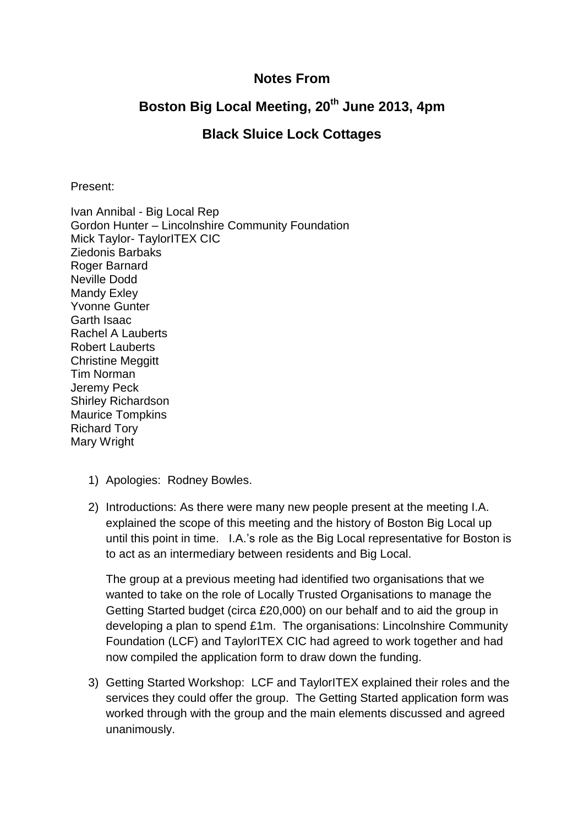## **Notes From**

## **Boston Big Local Meeting, 20th June 2013, 4pm**

## **Black Sluice Lock Cottages**

Present:

Ivan Annibal - Big Local Rep Gordon Hunter – Lincolnshire Community Foundation Mick Taylor- TaylorITEX CIC Ziedonis Barbaks Roger Barnard Neville Dodd Mandy Exley Yvonne Gunter Garth Isaac Rachel A Lauberts Robert Lauberts Christine Meggitt Tim Norman Jeremy Peck Shirley Richardson Maurice Tompkins Richard Tory Mary Wright

- 1) Apologies: Rodney Bowles.
- 2) Introductions: As there were many new people present at the meeting I.A. explained the scope of this meeting and the history of Boston Big Local up until this point in time. I.A.'s role as the Big Local representative for Boston is to act as an intermediary between residents and Big Local.

The group at a previous meeting had identified two organisations that we wanted to take on the role of Locally Trusted Organisations to manage the Getting Started budget (circa £20,000) on our behalf and to aid the group in developing a plan to spend £1m. The organisations: Lincolnshire Community Foundation (LCF) and TaylorITEX CIC had agreed to work together and had now compiled the application form to draw down the funding.

3) Getting Started Workshop: LCF and TaylorITEX explained their roles and the services they could offer the group. The Getting Started application form was worked through with the group and the main elements discussed and agreed unanimously.